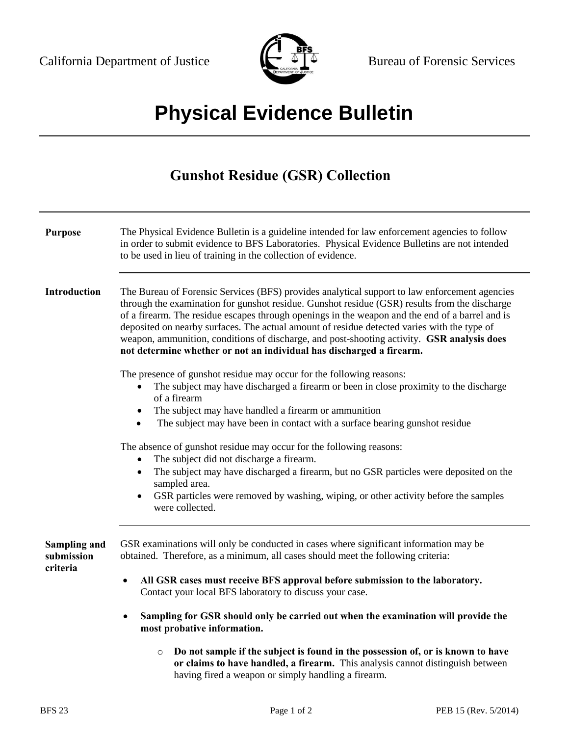

## **Physical Evidence Bulletin**

## **Gunshot Residue (GSR) Collection**

| <b>Purpose</b>                                | The Physical Evidence Bulletin is a guideline intended for law enforcement agencies to follow<br>in order to submit evidence to BFS Laboratories. Physical Evidence Bulletins are not intended<br>to be used in lieu of training in the collection of evidence.                                                                                                                                                                                                                                                                                                        |  |  |
|-----------------------------------------------|------------------------------------------------------------------------------------------------------------------------------------------------------------------------------------------------------------------------------------------------------------------------------------------------------------------------------------------------------------------------------------------------------------------------------------------------------------------------------------------------------------------------------------------------------------------------|--|--|
| Introduction                                  | The Bureau of Forensic Services (BFS) provides analytical support to law enforcement agencies<br>through the examination for gunshot residue. Gunshot residue (GSR) results from the discharge<br>of a firearm. The residue escapes through openings in the weapon and the end of a barrel and is<br>deposited on nearby surfaces. The actual amount of residue detected varies with the type of<br>weapon, ammunition, conditions of discharge, and post-shooting activity. GSR analysis does<br>not determine whether or not an individual has discharged a firearm. |  |  |
|                                               | The presence of gunshot residue may occur for the following reasons:<br>The subject may have discharged a firearm or been in close proximity to the discharge<br>of a firearm<br>The subject may have handled a firearm or ammunition<br>$\bullet$<br>The subject may have been in contact with a surface bearing gunshot residue<br>$\bullet$                                                                                                                                                                                                                         |  |  |
|                                               | The absence of gunshot residue may occur for the following reasons:<br>The subject did not discharge a firearm.<br>$\bullet$<br>The subject may have discharged a firearm, but no GSR particles were deposited on the<br>$\bullet$<br>sampled area.<br>GSR particles were removed by washing, wiping, or other activity before the samples<br>$\bullet$<br>were collected.                                                                                                                                                                                             |  |  |
| <b>Sampling and</b><br>submission<br>criteria | GSR examinations will only be conducted in cases where significant information may be<br>obtained. Therefore, as a minimum, all cases should meet the following criteria:<br>All GSR cases must receive BFS approval before submission to the laboratory.<br>$\bullet$<br>Contact your local BFS laboratory to discuss your case.                                                                                                                                                                                                                                      |  |  |
|                                               | Sampling for GSR should only be carried out when the examination will provide the<br>$\bullet$<br>most probative information.                                                                                                                                                                                                                                                                                                                                                                                                                                          |  |  |
|                                               | Do not sample if the subject is found in the possession of, or is known to have<br>$\circ$<br>or claims to have handled, a firearm. This analysis cannot distinguish between<br>having fired a weapon or simply handling a firearm.                                                                                                                                                                                                                                                                                                                                    |  |  |